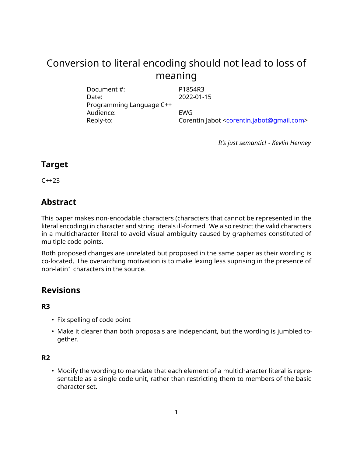# Conversion to literal encoding should not lead to loss of meaning

Document #: P1854R3 Date: 2022-01-15 Programming Language C++ Audience: EWG Reply-to: Corentin Jabot [<corentin.jabot@gmail.com>](mailto:corentin.jabot@gmail.com)

*It's just semantic! - Kevlin Henney*

## **Target**

C++23

## **Abstract**

This paper makes non-encodable characters (characters that cannot be represented in the literal encoding) in character and string literals ill-formed. We also restrict the valid characters in a multicharacter literal to avoid visual ambiguity caused by graphemes constituted of multiple code points.

Both proposed changes are unrelated but proposed in the same paper as their wording is co-located. The overarching motivation is to make lexing less suprising in the presence of non-latin1 characters in the source.

## **Revisions**

### **R3**

- Fix spelling of code point
- Make it clearer than both proposals are independant, but the wording is jumbled together.

### **R2**

• Modify the wording to mandate that each element of a multicharacter literal is representable as a single code unit, rather than restricting them to members of the basic character set.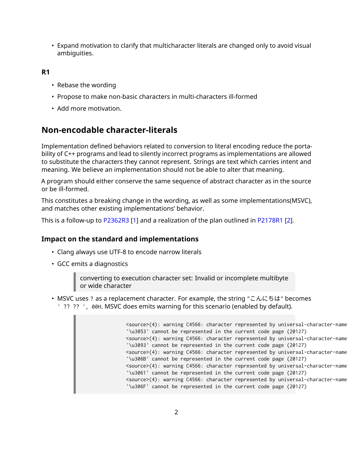• Expand motivation to clarify that multicharacter literals are changed only to avoid visual ambiguities.

**R1**

- Rebase the wording
- Propose to make non-basic characters in multi-characters ill-formed
- Add more motivation.

## **Non-encodable character-literals**

Implementation defined behaviors related to conversion to literal encoding reduce the portability of C++ programs and lead to silently incorrect programs as implementations are allowed to substitute the characters they cannot represent. Strings are text which carries intent and meaning. We believe an implementation should not be able to alter that meaning.

A program should either conserve the same sequence of abstract character as in the source or be ill-formed.

This constitutes a breaking change in the wording, as well as some implementations(MSVC), and matches other existing implementations' behavior.

This is a follow-up to [P2362R3](https://wg21.link/P2362R3) [\[1\]](#page-6-0) and a realization of the plan outlined in [P2178R1](https://wg21.link/P2178R1) [\[2\]](#page-6-1).

### **Impact on the standard and implementations**

- Clang always use UTF-8 to encode narrow literals
- GCC emits a diagnostics

converting to execution character set: Invalid or incomplete multibyte or wide character

• MSVC uses ? as a replacement character. For example, the string "こんにちは" becomes ' ?? ?? ', 00H. MSVC does emits warning for this scenario (enabled by default).

```
<source>(4): warning C4566: character represented by universal-character-name
'\u3053' cannot be represented in the current code page (20127)
<source>(4): warning C4566: character represented by universal-character-name
'\u3093' cannot be represented in the current code page (20127)
<source>(4): warning C4566: character represented by universal-character-name
'\u306B' cannot be represented in the current code page (20127)
<source>(4): warning C4566: character represented by universal-character-name
'\u3061' cannot be represented in the current code page (20127)
<source>(4): warning C4566: character represented by universal-character-name
'\u306F' cannot be represented in the current code page (20127)
```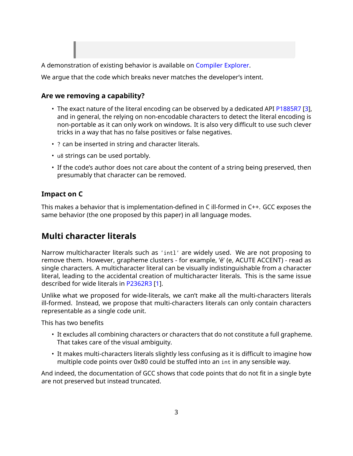

We argue that the code which breaks never matches the developer's intent.

#### **Are we removing a capability?**

- The exact nature of the literal encoding can be observed by a dedicated API [P1885R7](https://wg21.link/P1885R7) [\[3\]](#page-6-2), and in general, the relying on non-encodable characters to detect the literal encoding is non-portable as it can only work on windows. It is also very difficult to use such clever tricks in a way that has no false positives or false negatives.
- ? can be inserted in string and character literals.
- u8 strings can be used portably.
- If the code's author does not care about the content of a string being preserved, then presumably that character can be removed.

#### **Impact on C**

This makes a behavior that is implementation-defined in C ill-formed in C++. GCC exposes the same behavior (the one proposed by this paper) in all language modes.

## **Multi character literals**

Narrow multicharacter literals such as 'intl' are widely used. We are not proposing to remove them. However, grapheme clusters - for example, 'é' (e, ACUTE ACCENT) - read as single characters. A multicharacter literal can be visually indistinguishable from a character literal, leading to the accidental creation of multicharacter literals. This is the same issue described for wide literals in [P2362R3](https://wg21.link/P2362R3) [\[1\]](#page-6-0).

Unlike what we proposed for wide-literals, we can't make all the multi-characters literals ill-formed. Instead, we propose that multi-characters literals can only contain characters representable as a single code unit.

This has two benefits

- It excludes all combining characters or characters that do not constitute a full grapheme. That takes care of the visual ambiguity.
- It makes multi-characters literals slightly less confusing as it is difficult to imagine how multiple code points over 0x80 could be stuffed into an int in any sensible way.

And indeed, the documentation of GCC shows that code points that do not fit in a single byte are not preserved but instead truncated.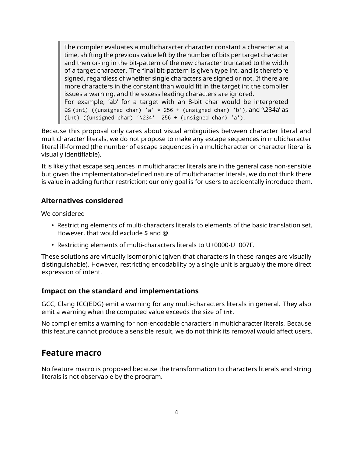The compiler evaluates a multicharacter character constant a character at a time, shifting the previous value left by the number of bits per target character and then or-ing in the bit-pattern of the new character truncated to the width of a target character. The final bit-pattern is given type int, and is therefore signed, regardless of whether single characters are signed or not. If there are more characters in the constant than would fit in the target int the compiler issues a warning, and the excess leading characters are ignored. For example, 'ab' for a target with an 8-bit char would be interpreted as (int) ((unsigned char) 'a'  $*$  256 + (unsigned char) 'b'), and  $\lambda$ 234a' as (int) ((unsigned char)  $'\234'$  256 + (unsigned char) 'a').

Because this proposal only cares about visual ambiguities between character literal and multicharacter literals, we do not propose to make any escape sequences in multicharacter literal ill-formed (the number of escape sequences in a multicharacter or character literal is visually identifiable).

It is likely that escape sequences in multicharacter literals are in the general case non-sensible but given the implementation-defined nature of multicharacter literals, we do not think there is value in adding further restriction; our only goal is for users to accidentally introduce them.

#### **Alternatives considered**

We considered

- Restricting elements of multi-characters literals to elements of the basic translation set. However, that would exclude \$ and @.
- Restricting elements of multi-characters literals to U+0000-U+007F.

These solutions are virtually isomorphic (given that characters in these ranges are visually distinguishable). However, restricting encodability by a single unit is arguably the more direct expression of intent.

#### **Impact on the standard and implementations**

GCC, Clang ICC(EDG) emit a warning for any multi-characters literals in general. They also emit a warning when the computed value exceeds the size of int.

No compiler emits a warning for non-encodable characters in multicharacter literals. Because this feature cannot produce a sensible result, we do not think its removal would affect users.

## **Feature macro**

No feature macro is proposed because the transformation to characters literals and string literals is not observable by the program.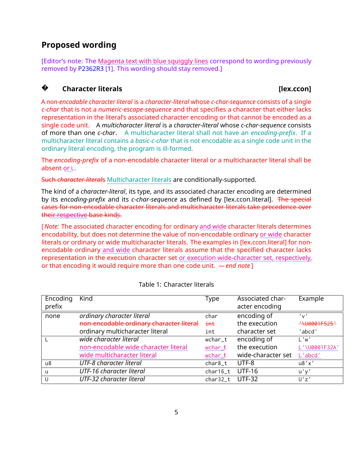## **Proposed wording**

[Editor's note: The <u>Magenta text with blue squiggly lines</u> correspond to wording previously removed by [P2362R3](https://wg21.link/P2362R3) [\[1\]](#page-6-0). This wording should stay removed.]

#### **?Character literals Character literals Character literals Character literals**

A *non-encodable character literal* is a *character-literal* whose *c-char-sequence* consists of a single *c-char* that is not a *numeric-escape-sequence* and that specifies a character that either lacks representation in the literal's associated character encoding or that cannot be encoded as a single code unit. A *multicharacter literal* is a *character-literal* whose *c-char-sequence* consists of more than one *c-char*. A multicharacter literal shall not have an *encoding-prefix*. If a multicharacter literal contains a *basic-c-char* that is not encodable as a single code unit in the ordinary literal encoding, the program is ill-formed.

The *encoding-prefix* of a non-encodable character literal or a multicharacter literal shall be absent o<u>r L</u>.

Such *character-literal*s Multicharacter literals are conditionally-supported.

The kind of a *character-literal*, its type, and its associated character encoding are determined by its *encoding-prefix* and its *c-char-sequence* as defined by [lex.ccon.literal]. The special cases for non-encodable character literals and multicharacter literals take precedence over <mark>the</mark>ir respective base kinds.

[*Note: T*he associated character encoding for ordinary <u>and wide</u> character literals determines encodability, but does not determine the value of non-encodable ordinary <u>or wide</u> character literals or ordinary or wide multicharacter literals. The examples in [lex.ccon.literal] for nonencodable ordinary <u>and wide</u> character literals assume that the specified character lacks representation in the execution character set <u>or execution wide-character set, respectively</u>, or that encoding it would require more than one code unit. *— end note* ]

| Encoding | Kind                                     | Type     | Associated char-   | Example              |
|----------|------------------------------------------|----------|--------------------|----------------------|
| prefix   |                                          |          | acter encoding     |                      |
| none     | ordinary character literal               | char     | encoding of        | $'$ v $'$            |
|          | non-encodable ordinary character literal | int      | the execution      | "\U0001F525"         |
|          | ordinary multicharacter literal          | int      | character set      | 'abcd'               |
|          | wide character literal                   | wchar_t  | encoding of        | L'w'                 |
|          | non-encodable wide character literal     | wchart   | the execution      | L'\U0001F32A'        |
|          | wide multicharacter literal              | wchart   | wide-character set | $\frac{L'}{L}$ abcd' |
| u8       | UTF-8 character literal                  | char8_t  | UTF-8              | u8'x'                |
| <u>u</u> | UTF-16 character literal                 | char16_t | <b>UTF-16</b>      | u'y'                 |
| U        | UTF-32 character literal                 | char32_t | <b>UTF-32</b>      | U'z'                 |

#### Table 1: Character literals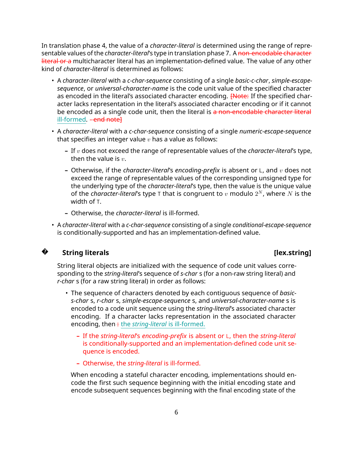In translation phase 4, the value of a *character-literal* is determined using the range of representable values of the *character-literal*'s type in translation phase 7. A non-encodable character literal or a multicharacter literal has an implementation-defined value. The value of any other kind of *character-literal* is determined as follows:

- A *character-literal* with a *c-char-sequence* consisting of a single *basic-c-char*, *simple-escapesequence*, or *universal-character-name* is the code unit value of the specified character as encoded in the literal's associated character encoding. **[Note:** If the specified character lacks representation in the literal's associated character encoding or if it cannot be encoded as a single code unit, then the literal is a non-encodable character literal ill-formed. - end notel
- A *character-literal* with a *c-char-sequence* consisting of a single *numeric-escape-sequence* that specifies an integer value *v* has a value as follows:
	- **–** If *v* does not exceed the range of representable values of the *character-literal*'s type, then the value is *v*.
	- **–** Otherwise, if the *character-literal*'s *encoding-prefix* is absent or L, and *v* does not exceed the range of representable values of the corresponding unsigned type for the underlying type of the *character-literal*'s type, then the value is the unique value of the *character-literal'*s type <sub>T</sub> that is congruent to  $v$  modulo  $2^N$ , where  $N$  is the width of T.
	- **–** Otherwise, the *character-literal* is ill-formed.
- A *character-literal* with a *c-char-sequence* consisting of a single *conditional-escape-sequence* is conditionally-supported and has an implementation-defined value.



#### **String literals contract to the contract of the contract of the contract of the contract of the contract of the contract of the contract of the contract of the contract of the contract of the contract of the contract of**

String literal objects are initialized with the sequence of code unit values corresponding to the *string-literal*'s sequence of *s-char* s (for a non-raw string literal) and *r-char* s (for a raw string literal) in order as follows:

- The sequence of characters denoted by each contiguous sequence of *basics-char* s, *r-char* s, *simple-escape-sequence* s, and *universal-character-name* s is encoded to a code unit sequence using the *string-literal*'s associated character encoding. If a character lacks representation in the associated character encoding, then : the *string-literal* is ill-formed.
	- **–** If the *string-literal*'s *encoding-prefix* is absent or L, then the *string-literal* is conditionally-supported and an implementation-defined code unit sequence is encoded.
	- **–** Otherwise, the *string-literal* is ill-formed.

When encoding a stateful character encoding, implementations should encode the first such sequence beginning with the initial encoding state and encode subsequent sequences beginning with the final encoding state of the